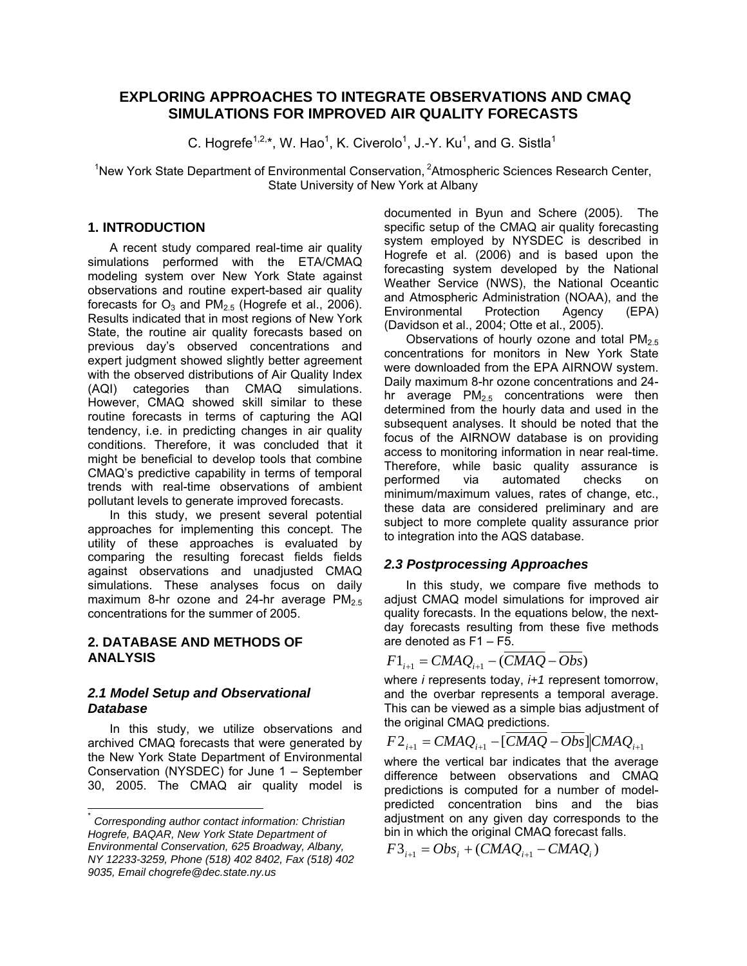# **EXPLORING APPROACHES TO INTEGRATE OBSERVATIONS AND CMAQ SIMULATIONS FOR IMPROVED AIR QUALITY FORECASTS**

C. Hogrefe<sup>1,2,\*</sup>, W. Hao<sup>1</sup>, K. Civerolo<sup>1</sup>, J.-Y. Ku<sup>1</sup>, and G. Sistla<sup>1</sup>

<sup>1</sup>New York State Department of Environmental Conservation, <sup>2</sup>Atmospheric Sciences Research Center, State University of New York at Albany

### **1. INTRODUCTION[\\*](#page-0-0)**

A recent study compared real-time air quality simulations performed with the ETA/CMAQ modeling system over New York State against observations and routine expert-based air quality forecasts for  $O_3$  and  $PM_{2.5}$  (Hogrefe et al., 2006). Results indicated that in most regions of New York State, the routine air quality forecasts based on previous day's observed concentrations and expert judgment showed slightly better agreement with the observed distributions of Air Quality Index (AQI) categories than CMAQ simulations. However, CMAQ showed skill similar to these routine forecasts in terms of capturing the AQI tendency, i.e. in predicting changes in air quality conditions. Therefore, it was concluded that it might be beneficial to develop tools that combine CMAQ's predictive capability in terms of temporal trends with real-time observations of ambient pollutant levels to generate improved forecasts.

In this study, we present several potential approaches for implementing this concept. The utility of these approaches is evaluated by comparing the resulting forecast fields fields against observations and unadjusted CMAQ simulations. These analyses focus on daily maximum 8-hr ozone and 24-hr average  $PM_{2.5}$ concentrations for the summer of 2005.

## **2. DATABASE AND METHODS OF ANALYSIS**

## *2.1 Model Setup and Observational Database*

l

In this study, we utilize observations and archived CMAQ forecasts that were generated by the New York State Department of Environmental Conservation (NYSDEC) for June 1 – September 30, 2005. The CMAQ air quality model is

documented in Byun and Schere (2005). The specific setup of the CMAQ air quality forecasting system employed by NYSDEC is described in Hogrefe et al. (2006) and is based upon the forecasting system developed by the National Weather Service (NWS), the National Oceantic and Atmospheric Administration (NOAA), and the Environmental Protection Agency (EPA) (Davidson et al., 2004; Otte et al., 2005).

Observations of hourly ozone and total  $PM<sub>2.5</sub>$ concentrations for monitors in New York State were downloaded from the EPA AIRNOW system. Daily maximum 8-hr ozone concentrations and 24 hr average  $PM<sub>2.5</sub>$  concentrations were then determined from the hourly data and used in the subsequent analyses. It should be noted that the focus of the AIRNOW database is on providing access to monitoring information in near real-time. Therefore, while basic quality assurance is performed via automated checks on minimum/maximum values, rates of change, etc., these data are considered preliminary and are subject to more complete quality assurance prior to integration into the AQS database.

## *2.3 Postprocessing Approaches*

In this study, we compare five methods to adiust CMAQ model simulations for improved air quality forecasts. In the equations below, the nextday forecasts resulting from these five methods are denoted as F1 – F5.

$$
F1_{i+1} = CMAQ_{i+1} - (\overline{CMAQ} - \overline{Obs})
$$

where *i* represents today, *i+1* represent tomorrow, and the overbar represents a temporal average. This can be viewed as a simple bias adjustment of the original CMAQ predictions.

$$
F2_{i+1} = CMAQ_{i+1} - [\overline{CMAQ} - \overline{Obs}][CMAQ_{i+1}]
$$

where the vertical bar indicates that the average difference between observations and CMAQ predictions is computed for a number of modelpredicted concentration bins and the bias adjustment on any given day corresponds to the bin in which the original CMAQ forecast falls.

$$
F3_{i+1} = Obs_i + (CMAQ_{i+1} - CMAQ_i)
$$

<span id="page-0-0"></span><sup>\*</sup> *Corresponding author contact information: Christian Hogrefe, BAQAR, New York State Department of Environmental Conservation, 625 Broadway, Albany, NY 12233-3259, Phone (518) 402 8402, Fax (518) 402 9035, Email chogrefe@dec.state.ny.us*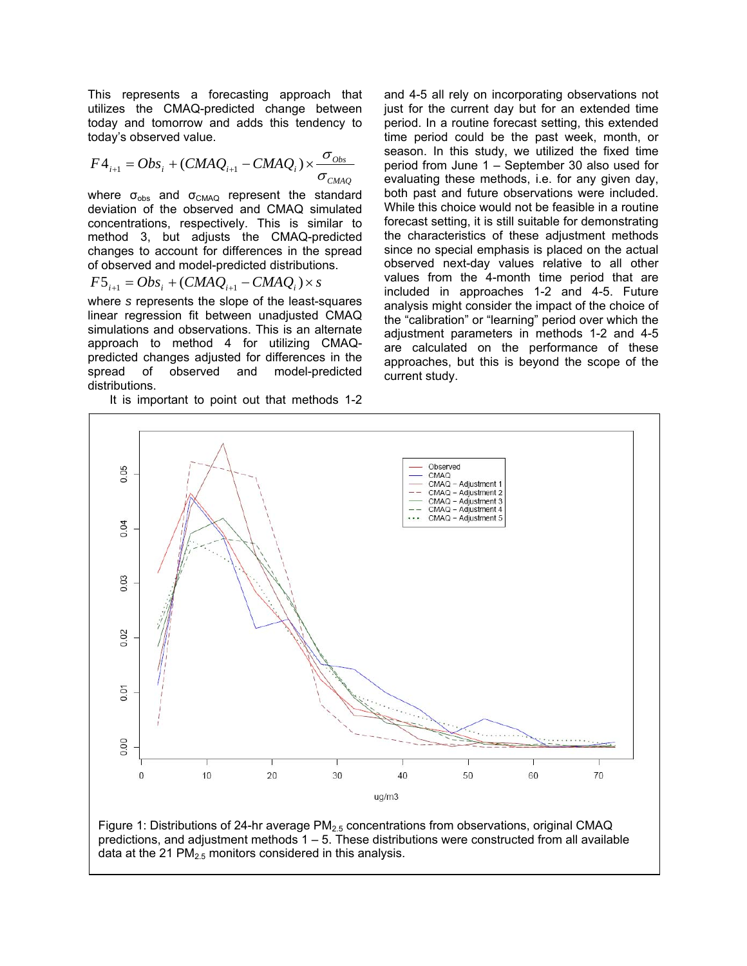This represents a forecasting approach that utilizes the CMAQ-predicted change between today and tomorrow and adds this tendency to today's observed value.

$$
F4_{i+1} = Obs_i + (CMAQ_{i+1} - CMAQ_i) \times \frac{\sigma_{Obs}}{\sigma_{CMAQ}}
$$

where  $\sigma_{obs}$  and  $\sigma_{CMAQ}$  represent the standard deviation of the observed and CMAQ simulated concentrations, respectively. This is similar to method 3, but adjusts the CMAQ-predicted changes to account for differences in the spread of observed and model-predicted distributions.

$$
F5_{i+1} = Obs_i + (CMAQ_{i+1} - CMAQ_i) \times s
$$

where *s* represents the slope of the least-squares linear regression fit between unadjusted CMAQ simulations and observations. This is an alternate approach to method 4 for utilizing CMAQpredicted changes adjusted for differences in the spread of observed and model-predicted distributions.

It is important to point out that methods 1-2

and 4-5 all rely on incorporating observations not just for the current day but for an extended time period. In a routine forecast setting, this extended time period could be the past week, month, or season. In this study, we utilized the fixed time period from June 1 – September 30 also used for evaluating these methods, i.e. for any given day, both past and future observations were included. While this choice would not be feasible in a routine forecast setting, it is still suitable for demonstrating the characteristics of these adjustment methods since no special emphasis is placed on the actual observed next-day values relative to all other values from the 4-month time period that are included in approaches 1-2 and 4-5. Future analysis might consider the impact of the choice of the "calibration" or "learning" period over which the adjustment parameters in methods 1-2 and 4-5 are calculated on the performance of these approaches, but this is beyond the scope of the current study.



Figure 1: Distributions of 24-hr average  $PM_{2.5}$  concentrations from observations, original CMAQ predictions, and adjustment methods  $1 - 5$ . These distributions were constructed from all available data at the 21 PM $_{2.5}$  monitors considered in this analysis.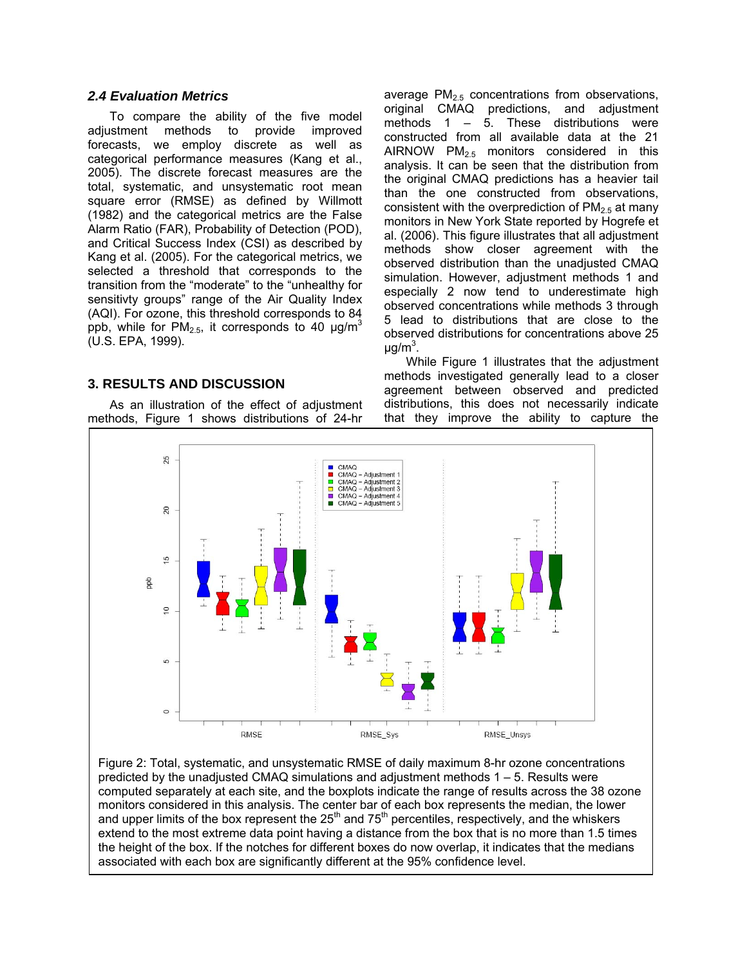#### *2.4 Evaluation Metrics*

To compare the ability of the five model adjustment methods to provide improved forecasts, we employ discrete as well as categorical performance measures (Kang et al., 2005). The discrete forecast measures are the total, systematic, and unsystematic root mean square error (RMSE) as defined by Willmott (1982) and the categorical metrics are the False Alarm Ratio (FAR), Probability of Detection (POD), and Critical Success Index (CSI) as described by Kang et al. (2005). For the categorical metrics, we selected a threshold that corresponds to the transition from the "moderate" to the "unhealthy for sensitivty groups" range of the Air Quality Index (AQI). For ozone, this threshold corresponds to 84 ppb, while for  $PM_{2.5}$ , it corresponds to 40  $\mu$ g/m<sup>3</sup> (U.S. EPA, 1999).

### **3. RESULTS AND DISCUSSION**

As an illustration of the effect of adjustment methods, Figure 1 shows distributions of 24-hr

average  $PM<sub>2.5</sub>$  concentrations from observations, original CMAQ predictions, and adjustment methods 1 – 5. These distributions were constructed from all available data at the 21 AIRNOW  $PM<sub>2.5</sub>$  monitors considered in this analysis. It can be seen that the distribution from the original CMAQ predictions has a heavier tail than the one constructed from observations, consistent with the overprediction of  $PM<sub>2.5</sub>$  at many monitors in New York State reported by Hogrefe et al. (2006). This figure illustrates that all adjustment methods show closer agreement with the observed distribution than the unadjusted CMAQ simulation. However, adjustment methods 1 and especially 2 now tend to underestimate high observed concentrations while methods 3 through 5 lead to distributions that are close to the observed distributions for concentrations above 25  $\mu$ g/m<sup>3</sup>.

While Figure 1 illustrates that the adjustment methods investigated generally lead to a closer agreement between observed and predicted distributions, this does not necessarily indicate that they improve the ability to capture the



Figure 2: Total, systematic, and unsystematic RMSE of daily maximum 8-hr ozone concentrations predicted by the unadjusted CMAQ simulations and adjustment methods  $1 - 5$ . Results were computed separately at each site, and the boxplots indicate the range of results across the 38 ozone monitors considered in this analysis. The center bar of each box represents the median, the lower and upper limits of the box represent the  $25<sup>th</sup>$  and  $75<sup>th</sup>$  percentiles, respectively, and the whiskers extend to the most extreme data point having a distance from the box that is no more than 1.5 times the height of the box. If the notches for different boxes do now overlap, it indicates that the medians associated with each box are significantly different at the 95% confidence level.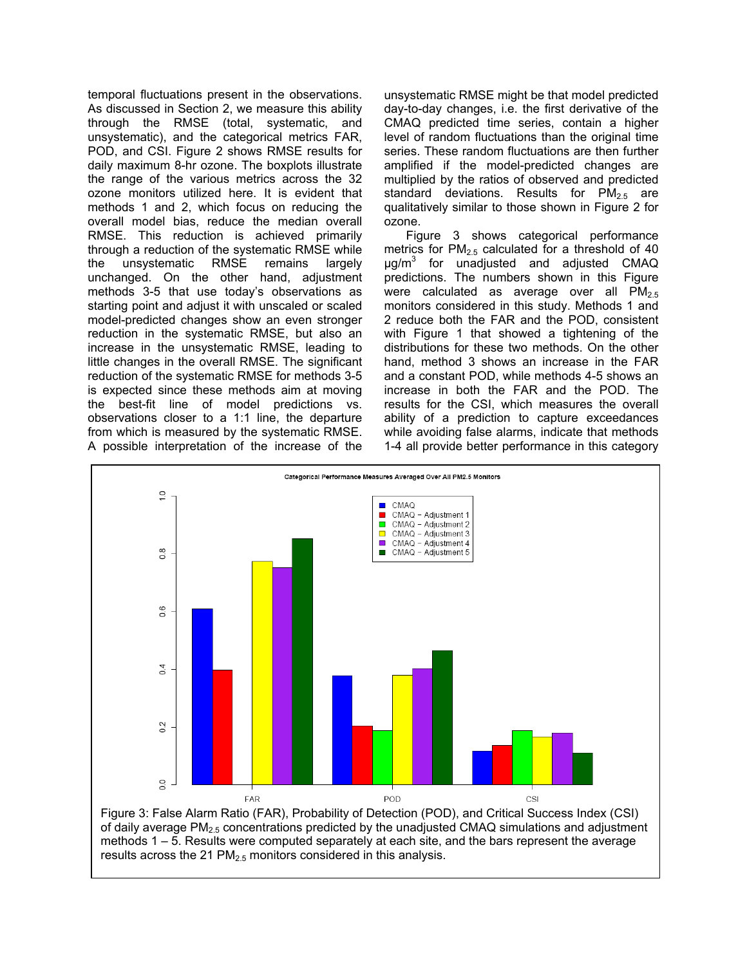temporal fluctuations present in the observations. As discussed in Section 2, we measure this ability through the RMSE (total, systematic, and unsystematic), and the categorical metrics FAR, POD, and CSI. Figure 2 shows RMSE results for daily maximum 8-hr ozone. The boxplots illustrate the range of the various metrics across the 32 ozone monitors utilized here. It is evident that methods 1 and 2, which focus on reducing the overall model bias, reduce the median overall RMSE. This reduction is achieved primarily through a reduction of the systematic RMSE while the unsystematic RMSE remains largely unchanged. On the other hand, adjustment methods 3-5 that use today's observations as starting point and adjust it with unscaled or scaled model-predicted changes show an even stronger reduction in the systematic RMSE, but also an increase in the unsystematic RMSE, leading to little changes in the overall RMSE. The significant reduction of the systematic RMSE for methods 3-5 is expected since these methods aim at moving the best-fit line of model predictions vs. observations closer to a 1:1 line, the departure from which is measured by the systematic RMSE. A possible interpretation of the increase of the unsystematic RMSE might be that model predicted day-to-day changes, i.e. the first derivative of the CMAQ predicted time series, contain a higher level of random fluctuations than the original time series. These random fluctuations are then further amplified if the model-predicted changes are multiplied by the ratios of observed and predicted standard deviations. Results for  $PM<sub>2.5</sub>$  are qualitatively similar to those shown in Figure 2 for ozone.

Figure 3 shows categorical performance metrics for  $PM_{2.5}$  calculated for a threshold of 40 µg/m<sup>3</sup> for unadjusted and adjusted CMAQ predictions. The numbers shown in this Figure were calculated as average over all  $PM_{2.5}$ monitors considered in this study. Methods 1 and 2 reduce both the FAR and the POD, consistent with Figure 1 that showed a tightening of the distributions for these two methods. On the other hand, method 3 shows an increase in the FAR and a constant POD, while methods 4-5 shows an increase in both the FAR and the POD. The results for the CSI, which measures the overall ability of a prediction to capture exceedances while avoiding false alarms, indicate that methods 1-4 all provide better performance in this category



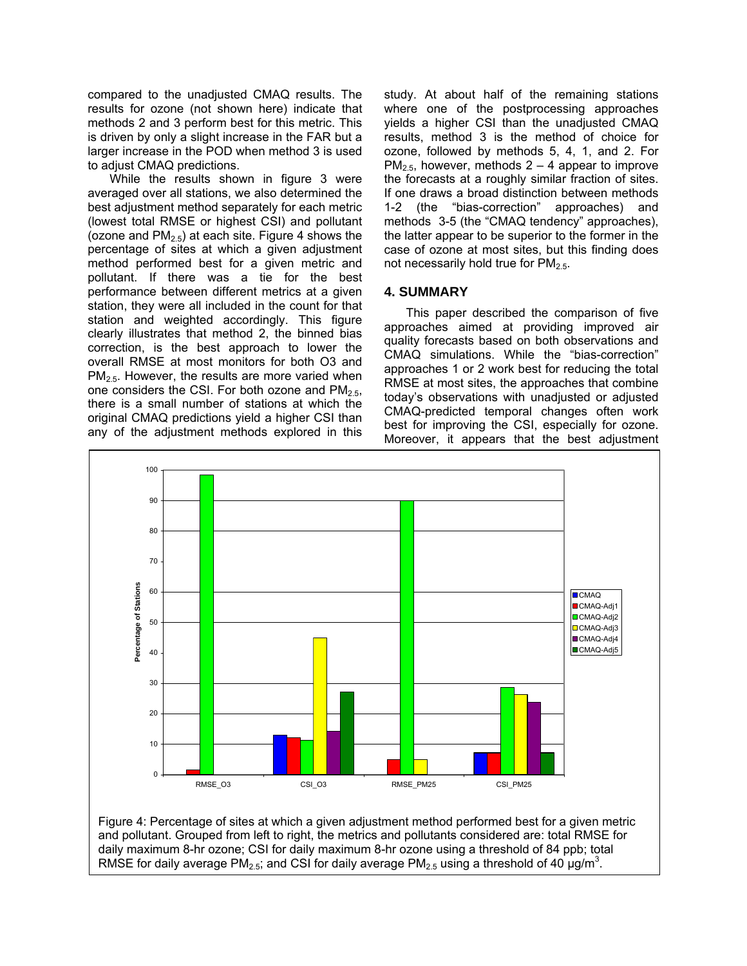compared to the unadjusted CMAQ results. The results for ozone (not shown here) indicate that methods 2 and 3 perform best for this metric. This is driven by only a slight increase in the FAR but a larger increase in the POD when method 3 is used to adjust CMAQ predictions.

While the results shown in figure 3 were averaged over all stations, we also determined the best adjustment method separately for each metric (lowest total RMSE or highest CSI) and pollutant (ozone and  $PM<sub>2.5</sub>$ ) at each site. Figure 4 shows the percentage of sites at which a given adjustment method performed best for a given metric and pollutant. If there was a tie for the best performance between different metrics at a given station, they were all included in the count for that station and weighted accordingly. This figure clearly illustrates that method 2, the binned bias correction, is the best approach to lower the overall RMSE at most monitors for both O3 and PM<sub>2.5</sub>. However, the results are more varied when one considers the CSI. For both ozone and  $PM<sub>2.5</sub>$ , there is a small number of stations at which the original CMAQ predictions yield a higher CSI than any of the adjustment methods explored in this

study. At about half of the remaining stations where one of the postprocessing approaches yields a higher CSI than the unadjusted CMAQ results, method 3 is the method of choice for ozone, followed by methods 5, 4, 1, and 2. For  $PM<sub>2.5</sub>$ , however, methods 2 – 4 appear to improve the forecasts at a roughly similar fraction of sites. If one draws a broad distinction between methods 1-2 (the "bias-correction" approaches) and methods 3-5 (the "CMAQ tendency" approaches), the latter appear to be superior to the former in the case of ozone at most sites, but this finding does not necessarily hold true for  $PM<sub>2.5</sub>$ .

## **4. SUMMARY**

This paper described the comparison of five approaches aimed at providing improved air quality forecasts based on both observations and CMAQ simulations. While the "bias-correction" approaches 1 or 2 work best for reducing the total RMSE at most sites, the approaches that combine today's observations with unadjusted or adjusted CMAQ-predicted temporal changes often work best for improving the CSI, especially for ozone. Moreover, it appears that the best adjustment



Figure 4: Percentage of sites at which a given adjustment method performed best for a given metric and pollutant. Grouped from left to right, the metrics and pollutants considered are: total RMSE for daily maximum 8-hr ozone; CSI for daily maximum 8-hr ozone using a threshold of 84 ppb; total RMSE for daily average PM<sub>2.5</sub>; and CSI for daily average PM<sub>2.5</sub> using a threshold of 40 µg/m<sup>3</sup>.